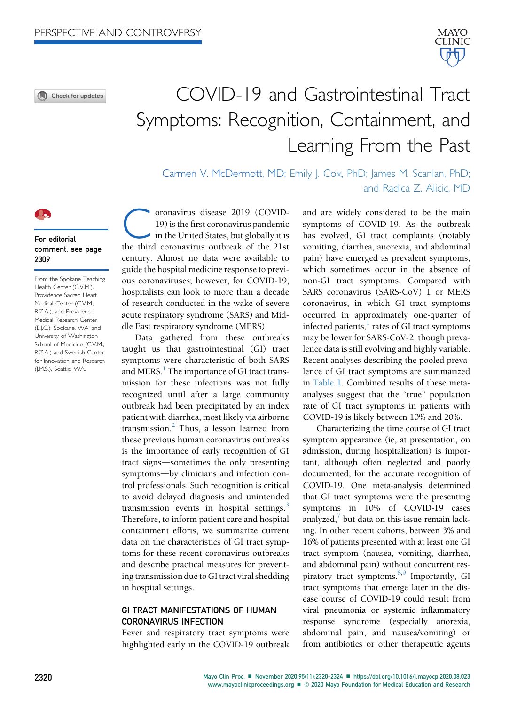O Check for updates



# COVID-19 and Gastrointestinal Tract Symptoms: Recognition, Containment, and Learning From the Past

Carmen V. McDermott, MD; Emily J. Cox, PhD; James M. Scanlan, PhD; and Radica Z. Alicic, MD

#### For editorial comment, see page 2309

From the Spokane Teaching Health Center (C.V.M.), Providence Sacred Heart Medical Center (C.V.M., R.Z.A.), and Providence Medical Research Center (E.J.C.), Spokane, WA; and University of Washington School of Medicine (C.V.M., R.Z.A.) and Swedish Center for Innovation and Research (J.M.S.), Seattle, WA.

oronavirus disease 2019 (COVID-19) is the first coronavirus pandemic in the United States, but globally it is the third coronavirus outbreak of the 21st century. Almost no data were available to guide the hospital medicine response to previous coronaviruses; however, for COVID-19, hospitalists can look to more than a decade of research conducted in the wake of severe acute respiratory syndrome (SARS) and Middle East respiratory syndrome (MERS).

Data gathered from these outbreaks taught us that gastrointestinal (GI) tract symptoms were characteristic of both SARS and MERS. $<sup>1</sup>$  The importance of GI tract trans-</sup> mission for these infections was not fully recognized until after a large community outbreak had been precipitated by an index patient with diarrhea, most likely via airborne transmission. $<sup>2</sup>$  $<sup>2</sup>$  $<sup>2</sup>$  Thus, a lesson learned from</sup> these previous human coronavirus outbreaks is the importance of early recognition of GI tract signs—sometimes the only presenting symptoms-by clinicians and infection control professionals. Such recognition is critical to avoid delayed diagnosis and unintended transmission events in hospital settings. $3$ Therefore, to inform patient care and hospital containment efforts, we summarize current data on the characteristics of GI tract symptoms for these recent coronavirus outbreaks and describe practical measures for preventing transmission due to GI tract viral shedding in hospital settings.

# GI TRACT MANIFESTATIONS OF HUMAN CORONAVIRUS INFECTION

Fever and respiratory tract symptoms were highlighted early in the COVID-19 outbreak and are widely considered to be the main symptoms of COVID-19. As the outbreak has evolved, GI tract complaints (notably vomiting, diarrhea, anorexia, and abdominal pain) have emerged as prevalent symptoms, which sometimes occur in the absence of non-GI tract symptoms. Compared with SARS coronavirus (SARS-CoV) 1 or MERS coronavirus, in which GI tract symptoms occurred in approximately one-quarter of infected patients, $\frac{1}{1}$  $\frac{1}{1}$  $\frac{1}{1}$  rates of GI tract symptoms may be lower for SARS-CoV-2, though prevalence data is still evolving and highly variable. Recent analyses describing the pooled prevalence of GI tract symptoms are summarized in [Table 1.](#page-2-0) Combined results of these metaanalyses suggest that the "true" population rate of GI tract symptoms in patients with COVID-19 is likely between 10% and 20%.

Characterizing the time course of GI tract symptom appearance (ie, at presentation, on admission, during hospitalization) is important, although often neglected and poorly documented, for the accurate recognition of COVID-19. One meta-analysis determined that GI tract symptoms were the presenting symptoms in 10% of COVID-19 cases analyzed,<sup> $\prime$ </sup> but data on this issue remain lacking. In other recent cohorts, between 3% and 16% of patients presented with at least one GI tract symptom (nausea, vomiting, diarrhea, and abdominal pain) without concurrent respiratory tract symptoms. $8,9$  $8,9$  Importantly, GI tract symptoms that emerge later in the disease course of COVID-19 could result from viral pneumonia or systemic inflammatory response syndrome (especially anorexia, abdominal pain, and nausea/vomiting) or from antibiotics or other therapeutic agents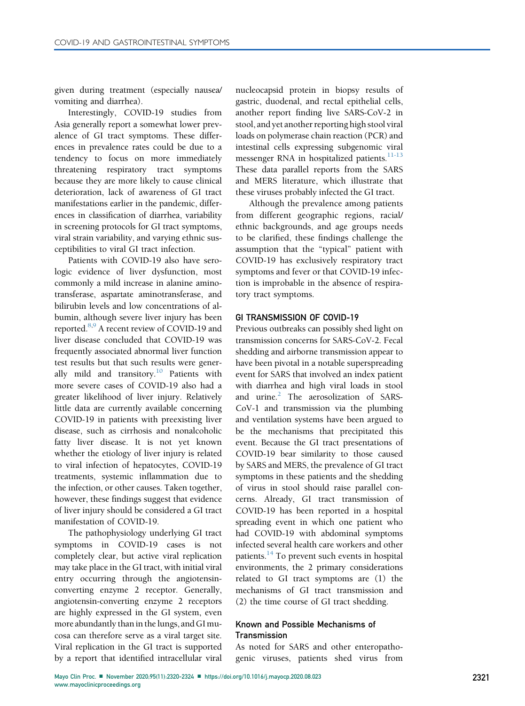given during treatment (especially nausea/ vomiting and diarrhea).

Interestingly, COVID-19 studies from Asia generally report a somewhat lower prevalence of GI tract symptoms. These differences in prevalence rates could be due to a tendency to focus on more immediately threatening respiratory tract symptoms because they are more likely to cause clinical deterioration, lack of awareness of GI tract manifestations earlier in the pandemic, differences in classification of diarrhea, variability in screening protocols for GI tract symptoms, viral strain variability, and varying ethnic susceptibilities to viral GI tract infection.

Patients with COVID-19 also have serologic evidence of liver dysfunction, most commonly a mild increase in alanine aminotransferase, aspartate aminotransferase, and bilirubin levels and low concentrations of albumin, although severe liver injury has been reported[.8](#page-4-4),[9](#page-4-5) A recent review of COVID-19 and liver disease concluded that COVID-19 was frequently associated abnormal liver function test results but that such results were generally mild and transitory.<sup>10</sup> Patients with more severe cases of COVID-19 also had a greater likelihood of liver injury. Relatively little data are currently available concerning COVID-19 in patients with preexisting liver disease, such as cirrhosis and nonalcoholic fatty liver disease. It is not yet known whether the etiology of liver injury is related to viral infection of hepatocytes, COVID-19 treatments, systemic inflammation due to the infection, or other causes. Taken together, however, these findings suggest that evidence of liver injury should be considered a GI tract manifestation of COVID-19.

The pathophysiology underlying GI tract symptoms in COVID-19 cases is not completely clear, but active viral replication may take place in the GI tract, with initial viral entry occurring through the angiotensinconverting enzyme 2 receptor. Generally, angiotensin-converting enzyme 2 receptors are highly expressed in the GI system, even more abundantly than in the lungs, and GI mucosa can therefore serve as a viral target site. Viral replication in the GI tract is supported by a report that identified intracellular viral

nucleocapsid protein in biopsy results of gastric, duodenal, and rectal epithelial cells, another report finding live SARS-CoV-2 in stool, and yet another reporting high stool viral loads on polymerase chain reaction (PCR) and intestinal cells expressing subgenomic viral messenger RNA in hospitalized patients. $11-13$ These data parallel reports from the SARS and MERS literature, which illustrate that these viruses probably infected the GI tract.

Although the prevalence among patients from different geographic regions, racial/ ethnic backgrounds, and age groups needs to be clarified, these findings challenge the assumption that the "typical" patient with COVID-19 has exclusively respiratory tract symptoms and fever or that COVID-19 infection is improbable in the absence of respiratory tract symptoms.

#### GI TRANSMISSION OF COVID-19

Previous outbreaks can possibly shed light on transmission concerns for SARS-CoV-2. Fecal shedding and airborne transmission appear to have been pivotal in a notable superspreading event for SARS that involved an index patient with diarrhea and high viral loads in stool and urine.<sup>[2](#page-4-1)</sup> The aerosolization of SARS-CoV-1 and transmission via the plumbing and ventilation systems have been argued to be the mechanisms that precipitated this event. Because the GI tract presentations of COVID-19 bear similarity to those caused by SARS and MERS, the prevalence of GI tract symptoms in these patients and the shedding of virus in stool should raise parallel concerns. Already, GI tract transmission of COVID-19 has been reported in a hospital spreading event in which one patient who had COVID-19 with abdominal symptoms infected several health care workers and other patients.<sup>[14](#page-4-8)</sup> To prevent such events in hospital environments, the 2 primary considerations related to GI tract symptoms are (1) the mechanisms of GI tract transmission and (2) the time course of GI tract shedding.

# Known and Possible Mechanisms of **Transmission**

As noted for SARS and other enteropathogenic viruses, patients shed virus from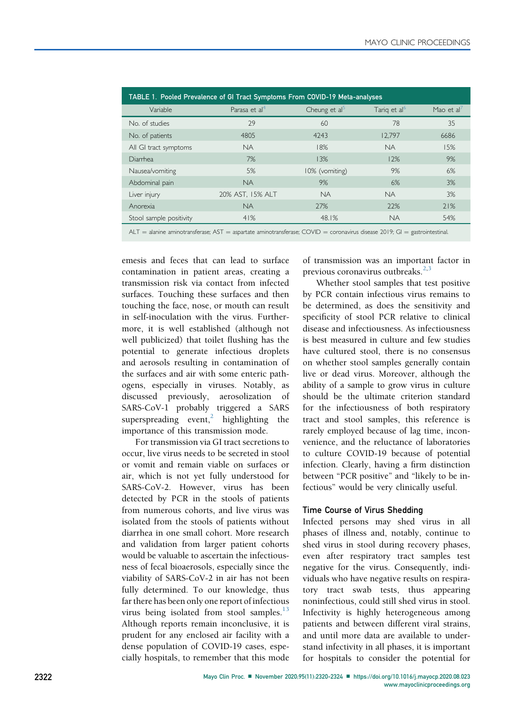<span id="page-2-0"></span>

| TABLE 1. Pooled Prevalence of GI Tract Symptoms From COVID-19 Meta-analyses |                           |                  |                          |            |
|-----------------------------------------------------------------------------|---------------------------|------------------|--------------------------|------------|
| Variable                                                                    | Parasa et al <sup>4</sup> | Cheung et $al^5$ | Tarig et al <sup>6</sup> | Mao et al' |
| No. of studies                                                              | 29                        | 60               | 78                       | 35         |
| No. of patients                                                             | 4805                      | 4243             | 12.797                   | 6686       |
| All GI tract symptoms                                                       | <b>NA</b>                 | 18%              | <b>NA</b>                | 15%        |
| Diarrhea                                                                    | 7%                        | 13%              | 12%                      | 9%         |
| Nausea/vomiting                                                             | 5%                        | 10% (vomiting)   | 9%                       | 6%         |
| Abdominal pain                                                              | <b>NA</b>                 | 9%               | 6%                       | 3%         |
| Liver injury                                                                | 20% AST, 15% ALT          | <b>NA</b>        | <b>NA</b>                | 3%         |
| Anorexia                                                                    | <b>NA</b>                 | 77%              | 22%                      | 71%        |
| Stool sample positivity                                                     | 41%                       | 48.1%            | <b>NA</b>                | 54%        |
|                                                                             |                           |                  |                          |            |

 $ALT =$  alanine aminotransferase;  $AST =$  aspartate aminotransferase;  $COVID =$  coronavirus disease 2019; GI = gastrointestinal.

emesis and feces that can lead to surface contamination in patient areas, creating a transmission risk via contact from infected surfaces. Touching these surfaces and then touching the face, nose, or mouth can result in self-inoculation with the virus. Furthermore, it is well established (although not well publicized) that toilet flushing has the potential to generate infectious droplets and aerosols resulting in contamination of the surfaces and air with some enteric pathogens, especially in viruses. Notably, as discussed previously, aerosolization of SARS-CoV-1 probably triggered a SARS superspreading event,<sup>[2](#page-4-1)</sup> highlighting the importance of this transmission mode.

For transmission via GI tract secretions to occur, live virus needs to be secreted in stool or vomit and remain viable on surfaces or air, which is not yet fully understood for SARS-CoV-2. However, virus has been detected by PCR in the stools of patients from numerous cohorts, and live virus was isolated from the stools of patients without diarrhea in one small cohort. More research and validation from larger patient cohorts would be valuable to ascertain the infectiousness of fecal bioaerosols, especially since the viability of SARS-CoV-2 in air has not been fully determined. To our knowledge, thus far there has been only one report of infectious virus being isolated from stool samples. $^{13}$  $^{13}$  $^{13}$ Although reports remain inconclusive, it is prudent for any enclosed air facility with a dense population of COVID-19 cases, especially hospitals, to remember that this mode of transmission was an important factor in previous coronavirus outbreaks $^{2,3}$  $^{2,3}$  $^{2,3}$  $^{2,3}$ 

Whether stool samples that test positive by PCR contain infectious virus remains to be determined, as does the sensitivity and specificity of stool PCR relative to clinical disease and infectiousness. As infectiousness is best measured in culture and few studies have cultured stool, there is no consensus on whether stool samples generally contain live or dead virus. Moreover, although the ability of a sample to grow virus in culture should be the ultimate criterion standard for the infectiousness of both respiratory tract and stool samples, this reference is rarely employed because of lag time, inconvenience, and the reluctance of laboratories to culture COVID-19 because of potential infection. Clearly, having a firm distinction between "PCR positive" and "likely to be infectious" would be very clinically useful.

## Time Course of Virus Shedding

Infected persons may shed virus in all phases of illness and, notably, continue to shed virus in stool during recovery phases, even after respiratory tract samples test negative for the virus. Consequently, individuals who have negative results on respiratory tract swab tests, thus appearing noninfectious, could still shed virus in stool. Infectivity is highly heterogeneous among patients and between different viral strains, and until more data are available to understand infectivity in all phases, it is important for hospitals to consider the potential for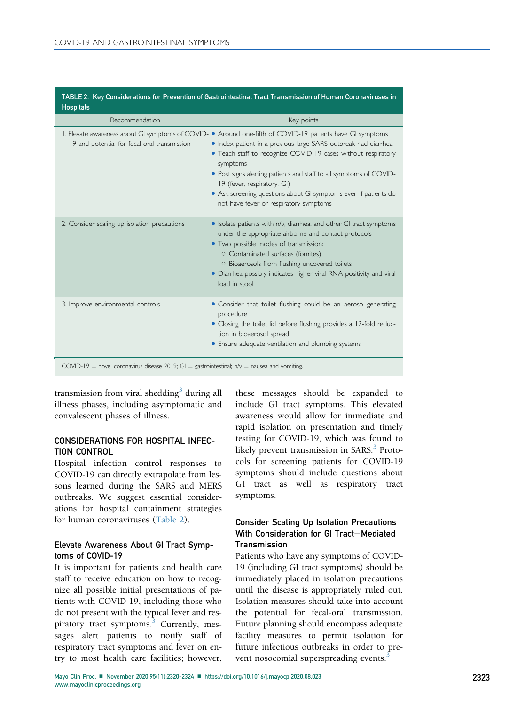| <b>Hospitals</b>                                                                                                                                                                                                                                                                                                                                                                                                                                                           |  |  |  |  |
|----------------------------------------------------------------------------------------------------------------------------------------------------------------------------------------------------------------------------------------------------------------------------------------------------------------------------------------------------------------------------------------------------------------------------------------------------------------------------|--|--|--|--|
| Key points                                                                                                                                                                                                                                                                                                                                                                                                                                                                 |  |  |  |  |
| I. Elevate awareness about GI symptoms of COVID- • Around one-fifth of COVID-19 patients have GI symptoms<br>• Index patient in a previous large SARS outbreak had diarrhea<br>• Teach staff to recognize COVID-19 cases without respiratory<br>symptoms<br>• Post signs alerting patients and staff to all symptoms of COVID-<br>19 (fever, respiratory, GI)<br>• Ask screening questions about GI symptoms even if patients do<br>not have fever or respiratory symptoms |  |  |  |  |
| • Isolate patients with n/v, diarrhea, and other GI tract symptoms<br>under the appropriate airborne and contact protocols<br>• Two possible modes of transmission:<br>○ Contaminated surfaces (fomites)<br>O Bioaerosols from flushing uncovered toilets<br>• Diarrhea possibly indicates higher viral RNA positivity and viral<br>load in stool                                                                                                                          |  |  |  |  |
| • Consider that toilet flushing could be an aerosol-generating<br>procedure<br>• Closing the toilet lid before flushing provides a 12-fold reduc-<br>tion in bioaerosol spread<br>• Ensure adequate ventilation and plumbing systems                                                                                                                                                                                                                                       |  |  |  |  |
|                                                                                                                                                                                                                                                                                                                                                                                                                                                                            |  |  |  |  |

<span id="page-3-0"></span>TABLE 2. Key Considerations for Prevention of Gastrointestinal Tract Transmission of Human Coronaviruses in

COVID-19 = novel coronavirus disease 2019; GI = gastrointestinal;  $n/v =$  nausea and vomiting.

transmission from viral shedding<sup>[3](#page-4-2)</sup> during all illness phases, including asymptomatic and convalescent phases of illness.

# CONSIDERATIONS FOR HOSPITAL INFEC-TION CONTROL

Hospital infection control responses to COVID-19 can directly extrapolate from lessons learned during the SARS and MERS outbreaks. We suggest essential considerations for hospital containment strategies for human coronaviruses [\(Table 2\)](#page-3-0).

# Elevate Awareness About GI Tract Symptoms of COVID-19

It is important for patients and health care staff to receive education on how to recognize all possible initial presentations of patients with COVID-19, including those who do not present with the typical fever and res-piratory tract symptoms.<sup>[3](#page-4-2)</sup> Currently, messages alert patients to notify staff of respiratory tract symptoms and fever on entry to most health care facilities; however,

these messages should be expanded to include GI tract symptoms. This elevated awareness would allow for immediate and rapid isolation on presentation and timely testing for COVID-19, which was found to likely prevent transmission in SARS.<sup>[3](#page-4-2)</sup> Protocols for screening patients for COVID-19 symptoms should include questions about GI tract as well as respiratory tract symptoms.

# Consider Scaling Up Isolation Precautions With Consideration for GI Tract-Mediated Transmission

Patients who have any symptoms of COVID-19 (including GI tract symptoms) should be immediately placed in isolation precautions until the disease is appropriately ruled out. Isolation measures should take into account the potential for fecal-oral transmission. Future planning should encompass adequate facility measures to permit isolation for future infectious outbreaks in order to prevent nosocomial superspreading events.<sup>3</sup>